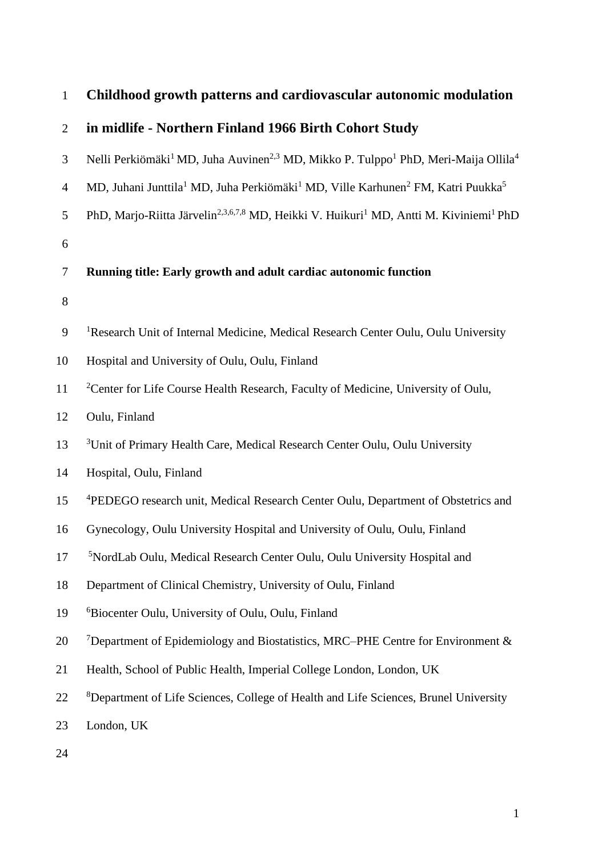| $\mathbf{1}$   | Childhood growth patterns and cardiovascular autonomic modulation                                                                  |
|----------------|------------------------------------------------------------------------------------------------------------------------------------|
| $\overline{2}$ | in midlife - Northern Finland 1966 Birth Cohort Study                                                                              |
| 3              | Nelli Perkiömäki <sup>1</sup> MD, Juha Auvinen <sup>2,3</sup> MD, Mikko P. Tulppo <sup>1</sup> PhD, Meri-Maija Ollila <sup>4</sup> |
| $\overline{4}$ | MD, Juhani Junttila <sup>1</sup> MD, Juha Perkiömäki <sup>1</sup> MD, Ville Karhunen <sup>2</sup> FM, Katri Puukka <sup>5</sup>    |
| 5              | PhD, Marjo-Riitta Järvelin <sup>2,3,6,7,8</sup> MD, Heikki V. Huikuri <sup>1</sup> MD, Antti M. Kiviniemi <sup>1</sup> PhD         |
| 6              |                                                                                                                                    |
| $\tau$         | Running title: Early growth and adult cardiac autonomic function                                                                   |
| $8\,$          |                                                                                                                                    |
| 9              | <sup>1</sup> Research Unit of Internal Medicine, Medical Research Center Oulu, Oulu University                                     |
| 10             | Hospital and University of Oulu, Oulu, Finland                                                                                     |
| 11             | <sup>2</sup> Center for Life Course Health Research, Faculty of Medicine, University of Oulu,                                      |
| 12             | Oulu, Finland                                                                                                                      |
| 13             | <sup>3</sup> Unit of Primary Health Care, Medical Research Center Oulu, Oulu University                                            |
| 14             | Hospital, Oulu, Finland                                                                                                            |
| 15             | <sup>4</sup> PEDEGO research unit, Medical Research Center Oulu, Department of Obstetrics and                                      |
| 16             | Gynecology, Oulu University Hospital and University of Oulu, Oulu, Finland                                                         |
| 17             | <sup>5</sup> NordLab Oulu, Medical Research Center Oulu, Oulu University Hospital and                                              |
| 18             | Department of Clinical Chemistry, University of Oulu, Finland                                                                      |
| 19             | <sup>6</sup> Biocenter Oulu, University of Oulu, Oulu, Finland                                                                     |
| 20             | <sup>7</sup> Department of Epidemiology and Biostatistics, MRC–PHE Centre for Environment &                                        |
| 21             | Health, School of Public Health, Imperial College London, London, UK                                                               |
| 22             | <sup>8</sup> Department of Life Sciences, College of Health and Life Sciences, Brunel University                                   |
| 23             | London, UK                                                                                                                         |
| 24             |                                                                                                                                    |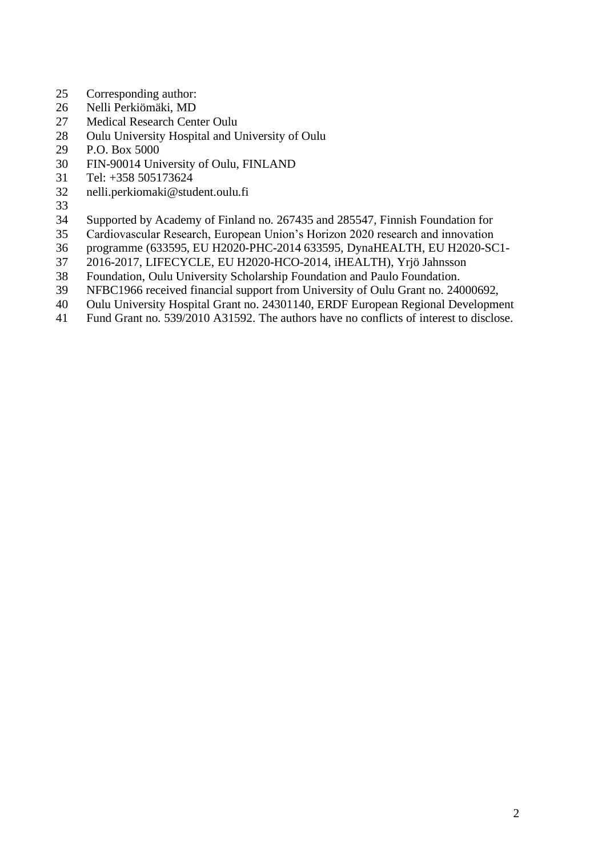- Corresponding author:
- Nelli Perkiömäki, MD
- Medical Research Center Oulu
- Oulu University Hospital and University of Oulu
- P.O. Box 5000
- FIN-90014 University of Oulu, FINLAND
- Tel: +358 505173624
- nelli.perkiomaki@student.oulu.fi
- 
- Supported by Academy of Finland no. 267435 and 285547, Finnish Foundation for
- Cardiovascular Research, European Union's Horizon 2020 research and innovation
- programme (633595, EU H2020-PHC-2014 633595, DynaHEALTH, EU H2020-SC1-
- 2016-2017, LIFECYCLE, EU H2020-HCO-2014, iHEALTH), Yrjö Jahnsson
- Foundation, Oulu University Scholarship Foundation and Paulo Foundation.
- NFBC1966 received financial support from University of Oulu Grant no. 24000692,
- Oulu University Hospital Grant no. 24301140, ERDF European Regional Development
- Fund Grant no. 539/2010 A31592. The authors have no conflicts of interest to disclose.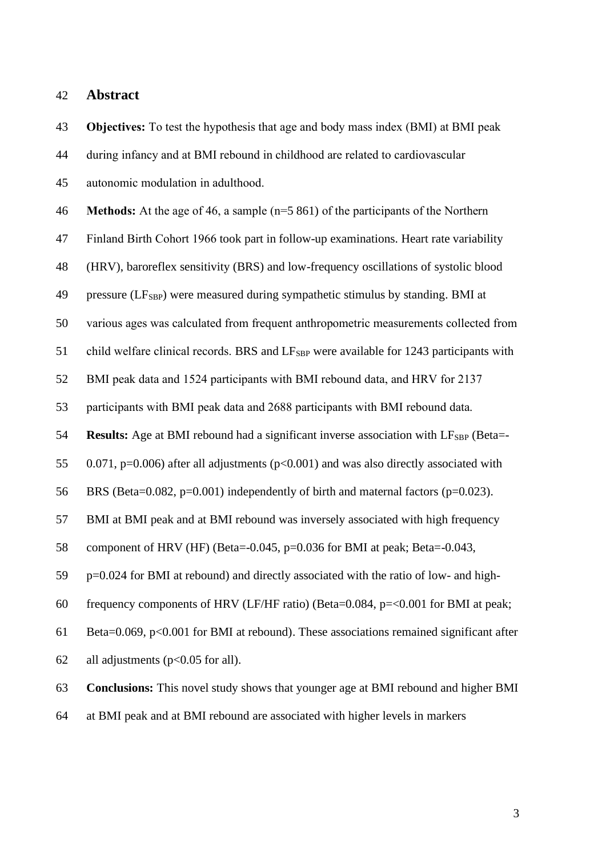# **Abstract**

 **Objectives:** To test the hypothesis that age and body mass index (BMI) at BMI peak during infancy and at BMI rebound in childhood are related to cardiovascular autonomic modulation in adulthood. **Methods:** At the age of 46, a sample (n=5 861) of the participants of the Northern Finland Birth Cohort 1966 took part in follow-up examinations. Heart rate variability (HRV), baroreflex sensitivity (BRS) and low-frequency oscillations of systolic blood 49 pressure (LF<sub>SBP</sub>) were measured during sympathetic stimulus by standing. BMI at various ages was calculated from frequent anthropometric measurements collected from 51 child welfare clinical records. BRS and LF<sub>SBP</sub> were available for 1243 participants with BMI peak data and 1524 participants with BMI rebound data, and HRV for 2137 participants with BMI peak data and 2688 participants with BMI rebound data. **Results:** Age at BMI rebound had a significant inverse association with LF<sub>SBP</sub> (Beta=- 0.071, p=0.006) after all adjustments (p<0.001) and was also directly associated with BRS (Beta=0.082, p=0.001) independently of birth and maternal factors (p=0.023). BMI at BMI peak and at BMI rebound was inversely associated with high frequency component of HRV (HF) (Beta=-0.045, p=0.036 for BMI at peak; Beta=-0.043, p=0.024 for BMI at rebound) and directly associated with the ratio of low- and high- frequency components of HRV (LF/HF ratio) (Beta=0.084, p=<0.001 for BMI at peak; Beta=0.069, p<0.001 for BMI at rebound). These associations remained significant after all adjustments (p<0.05 for all). **Conclusions:** This novel study shows that younger age at BMI rebound and higher BMI

at BMI peak and at BMI rebound are associated with higher levels in markers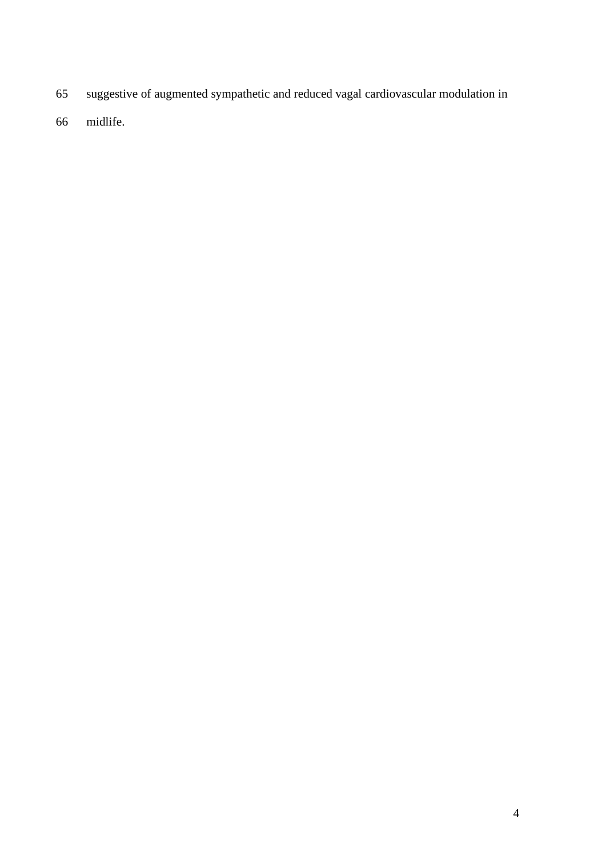- suggestive of augmented sympathetic and reduced vagal cardiovascular modulation in
- midlife.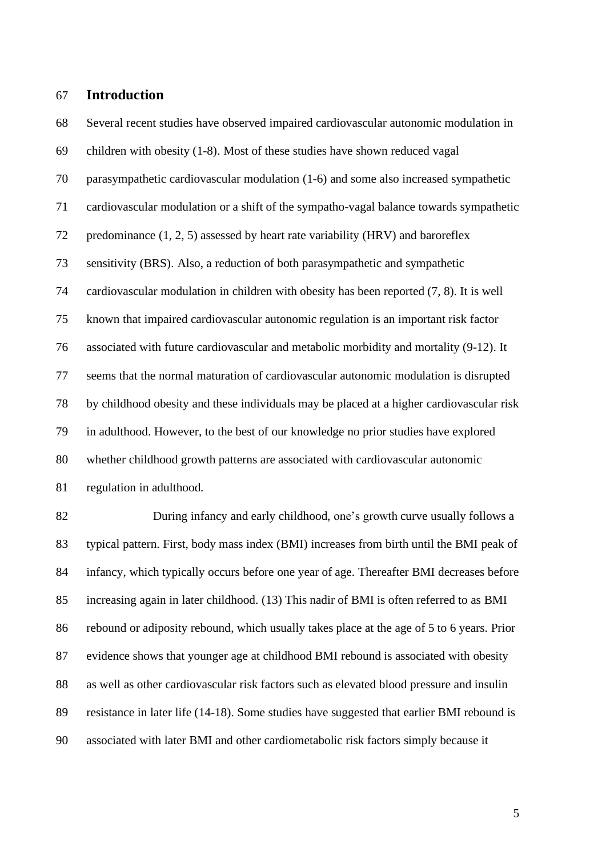# **Introduction**

 Several recent studies have observed impaired cardiovascular autonomic modulation in children with obesity (1-8). Most of these studies have shown reduced vagal parasympathetic cardiovascular modulation (1-6) and some also increased sympathetic cardiovascular modulation or a shift of the sympatho-vagal balance towards sympathetic predominance (1, 2, 5) assessed by heart rate variability (HRV) and baroreflex sensitivity (BRS). Also, a reduction of both parasympathetic and sympathetic cardiovascular modulation in children with obesity has been reported (7, 8). It is well known that impaired cardiovascular autonomic regulation is an important risk factor associated with future cardiovascular and metabolic morbidity and mortality (9-12). It seems that the normal maturation of cardiovascular autonomic modulation is disrupted by childhood obesity and these individuals may be placed at a higher cardiovascular risk in adulthood. However, to the best of our knowledge no prior studies have explored whether childhood growth patterns are associated with cardiovascular autonomic regulation in adulthood.

82 During infancy and early childhood, one's growth curve usually follows a typical pattern. First, body mass index (BMI) increases from birth until the BMI peak of infancy, which typically occurs before one year of age. Thereafter BMI decreases before increasing again in later childhood. (13) This nadir of BMI is often referred to as BMI rebound or adiposity rebound, which usually takes place at the age of 5 to 6 years. Prior evidence shows that younger age at childhood BMI rebound is associated with obesity as well as other cardiovascular risk factors such as elevated blood pressure and insulin resistance in later life (14-18). Some studies have suggested that earlier BMI rebound is associated with later BMI and other cardiometabolic risk factors simply because it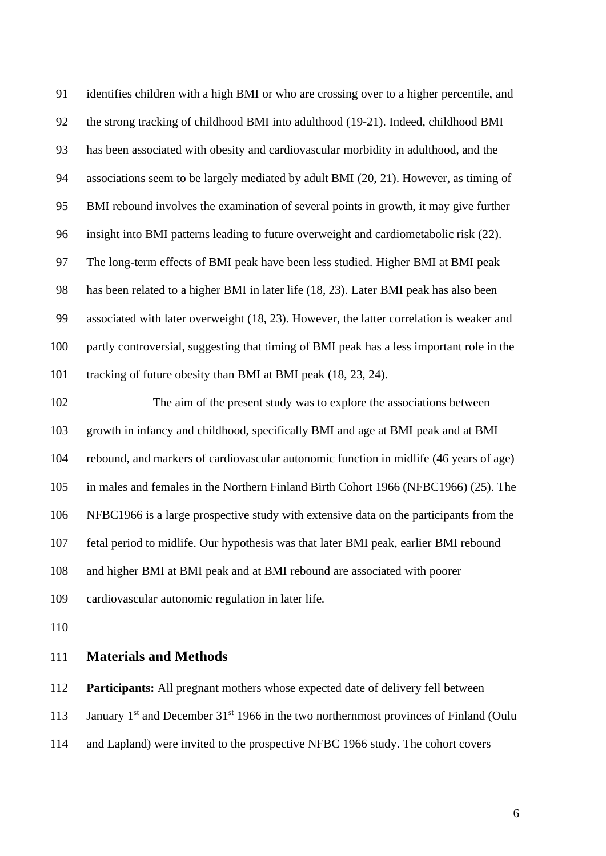identifies children with a high BMI or who are crossing over to a higher percentile, and the strong tracking of childhood BMI into adulthood (19-21). Indeed, childhood BMI has been associated with obesity and cardiovascular morbidity in adulthood, and the associations seem to be largely mediated by adult BMI (20, 21). However, as timing of BMI rebound involves the examination of several points in growth, it may give further insight into BMI patterns leading to future overweight and cardiometabolic risk (22). The long-term effects of BMI peak have been less studied. Higher BMI at BMI peak has been related to a higher BMI in later life (18, 23). Later BMI peak has also been associated with later overweight (18, 23). However, the latter correlation is weaker and partly controversial, suggesting that timing of BMI peak has a less important role in the tracking of future obesity than BMI at BMI peak (18, 23, 24).

 The aim of the present study was to explore the associations between growth in infancy and childhood, specifically BMI and age at BMI peak and at BMI rebound, and markers of cardiovascular autonomic function in midlife (46 years of age) in males and females in the Northern Finland Birth Cohort 1966 (NFBC1966) (25). The NFBC1966 is a large prospective study with extensive data on the participants from the fetal period to midlife. Our hypothesis was that later BMI peak, earlier BMI rebound and higher BMI at BMI peak and at BMI rebound are associated with poorer cardiovascular autonomic regulation in later life.

# **Materials and Methods**

**Participants:** All pregnant mothers whose expected date of delivery fell between

113 January 1<sup>st</sup> and December 31<sup>st</sup> 1966 in the two northernmost provinces of Finland (Oulu

and Lapland) were invited to the prospective NFBC 1966 study. The cohort covers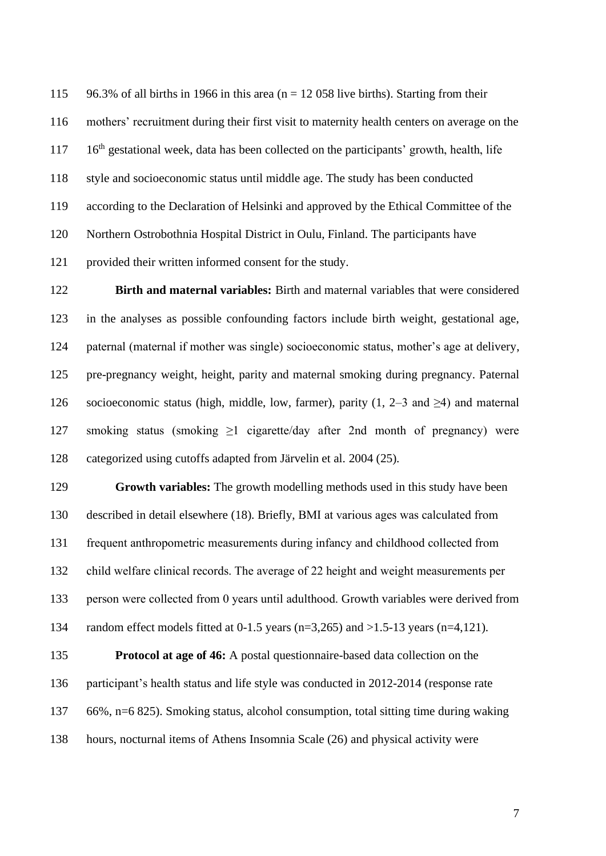115 96.3% of all births in 1966 in this area ( $n = 12,058$  live births). Starting from their mothers' recruitment during their first visit to maternity health centers on average on the 16<sup>th</sup> gestational week, data has been collected on the participants' growth, health, life style and socioeconomic status until middle age. The study has been conducted according to the Declaration of Helsinki and approved by the Ethical Committee of the Northern Ostrobothnia Hospital District in Oulu, Finland. The participants have provided their written informed consent for the study.

 **Birth and maternal variables:** Birth and maternal variables that were considered in the analyses as possible confounding factors include birth weight, gestational age, paternal (maternal if mother was single) socioeconomic status, mother's age at delivery, pre-pregnancy weight, height, parity and maternal smoking during pregnancy. Paternal 126 socioeconomic status (high, middle, low, farmer), parity (1, 2–3 and  $\geq$ 4) and maternal smoking status (smoking ≥1 cigarette/day after 2nd month of pregnancy) were categorized using cutoffs adapted from Järvelin et al. 2004 (25).

 **Growth variables:** The growth modelling methods used in this study have been described in detail elsewhere (18). Briefly, BMI at various ages was calculated from frequent anthropometric measurements during infancy and childhood collected from child welfare clinical records. The average of 22 height and weight measurements per person were collected from 0 years until adulthood. Growth variables were derived from 134 random effect models fitted at 0-1.5 years (n=3,265) and >1.5-13 years (n=4,121).

 **Protocol at age of 46:** A postal questionnaire-based data collection on the participant's health status and life style was conducted in 2012-2014 (response rate 66%, n=6 825). Smoking status, alcohol consumption, total sitting time during waking hours, nocturnal items of Athens Insomnia Scale (26) and physical activity were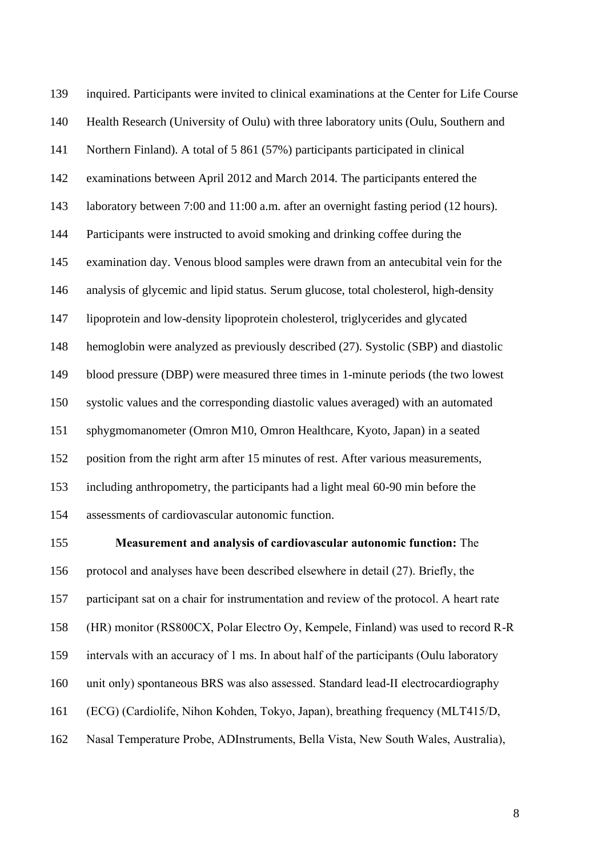inquired. Participants were invited to clinical examinations at the Center for Life Course Health Research (University of Oulu) with three laboratory units (Oulu, Southern and Northern Finland). A total of 5 861 (57%) participants participated in clinical examinations between April 2012 and March 2014. The participants entered the laboratory between 7:00 and 11:00 a.m. after an overnight fasting period (12 hours). Participants were instructed to avoid smoking and drinking coffee during the examination day. Venous blood samples were drawn from an antecubital vein for the analysis of glycemic and lipid status. Serum glucose, total cholesterol, high-density lipoprotein and low-density lipoprotein cholesterol, triglycerides and glycated hemoglobin were analyzed as previously described (27). Systolic (SBP) and diastolic blood pressure (DBP) were measured three times in 1-minute periods (the two lowest systolic values and the corresponding diastolic values averaged) with an automated sphygmomanometer (Omron M10, Omron Healthcare, Kyoto, Japan) in a seated position from the right arm after 15 minutes of rest. After various measurements, including anthropometry, the participants had a light meal 60-90 min before the assessments of cardiovascular autonomic function.

 **Measurement and analysis of cardiovascular autonomic function:** The protocol and analyses have been described elsewhere in detail (27). Briefly, the participant sat on a chair for instrumentation and review of the protocol. A heart rate (HR) monitor (RS800CX, Polar Electro Oy, Kempele, Finland) was used to record R-R intervals with an accuracy of 1 ms. In about half of the participants (Oulu laboratory unit only) spontaneous BRS was also assessed. Standard lead-II electrocardiography (ECG) (Cardiolife, Nihon Kohden, Tokyo, Japan), breathing frequency (MLT415/D, Nasal Temperature Probe, ADInstruments, Bella Vista, New South Wales, Australia),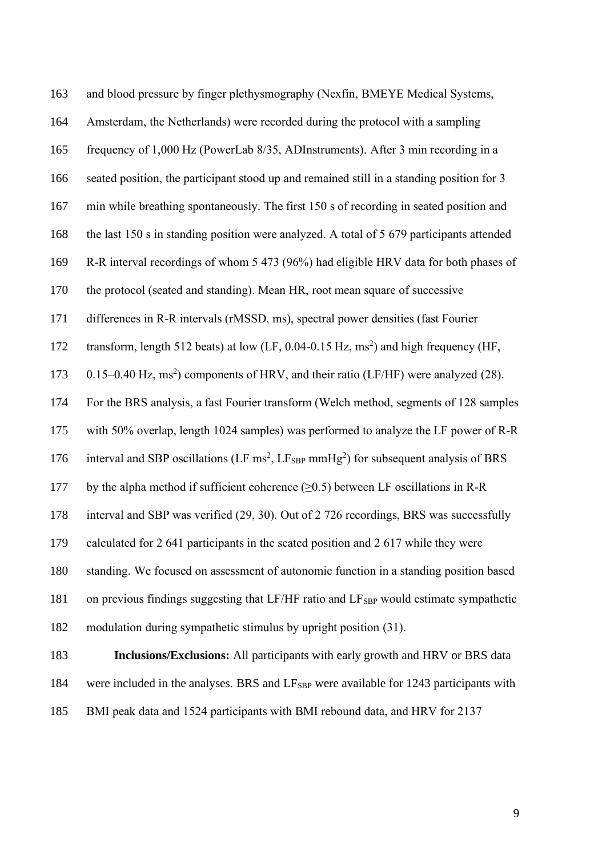| 163 | and blood pressure by finger plethysmography (Nexfin, BMEYE Medical Systems,                                           |
|-----|------------------------------------------------------------------------------------------------------------------------|
| 164 | Amsterdam, the Netherlands) were recorded during the protocol with a sampling                                          |
| 165 | frequency of 1,000 Hz (PowerLab 8/35, ADInstruments). After 3 min recording in a                                       |
| 166 | seated position, the participant stood up and remained still in a standing position for 3                              |
| 167 | min while breathing spontaneously. The first 150 s of recording in seated position and                                 |
| 168 | the last 150 s in standing position were analyzed. A total of 5 679 participants attended                              |
| 169 | R-R interval recordings of whom 5 473 (96%) had eligible HRV data for both phases of                                   |
| 170 | the protocol (seated and standing). Mean HR, root mean square of successive                                            |
| 171 | differences in R-R intervals (rMSSD, ms), spectral power densities (fast Fourier                                       |
| 172 | transform, length 512 beats) at low (LF, $0.04$ -0.15 Hz, ms <sup>2</sup> ) and high frequency (HF,                    |
| 173 | 0.15–0.40 Hz, ms <sup>2</sup> ) components of HRV, and their ratio (LF/HF) were analyzed (28).                         |
| 174 | For the BRS analysis, a fast Fourier transform (Welch method, segments of 128 samples                                  |
| 175 | with 50% overlap, length 1024 samples) was performed to analyze the LF power of R-R                                    |
| 176 | interval and SBP oscillations (LF $\text{ms}^2$ , LF <sub>SBP</sub> mmHg <sup>2</sup> ) for subsequent analysis of BRS |
| 177 | by the alpha method if sufficient coherence $(\geq 0.5)$ between LF oscillations in R-R                                |
| 178 | interval and SBP was verified (29, 30). Out of 2 726 recordings, BRS was successfully                                  |
| 179 | calculated for 2 641 participants in the seated position and 2 617 while they were                                     |
| 180 | standing. We focused on assessment of autonomic function in a standing position based                                  |
| 181 | on previous findings suggesting that LF/HF ratio and LF <sub>SBP</sub> would estimate sympathetic                      |
| 182 | modulation during sympathetic stimulus by upright position (31).                                                       |
| 183 | Inclusions/Exclusions: All participants with early growth and HRV or BRS data                                          |
| 184 | were included in the analyses. BRS and LF <sub>SBP</sub> were available for 1243 participants with                     |
|     |                                                                                                                        |

BMI peak data and 1524 participants with BMI rebound data, and HRV for 2137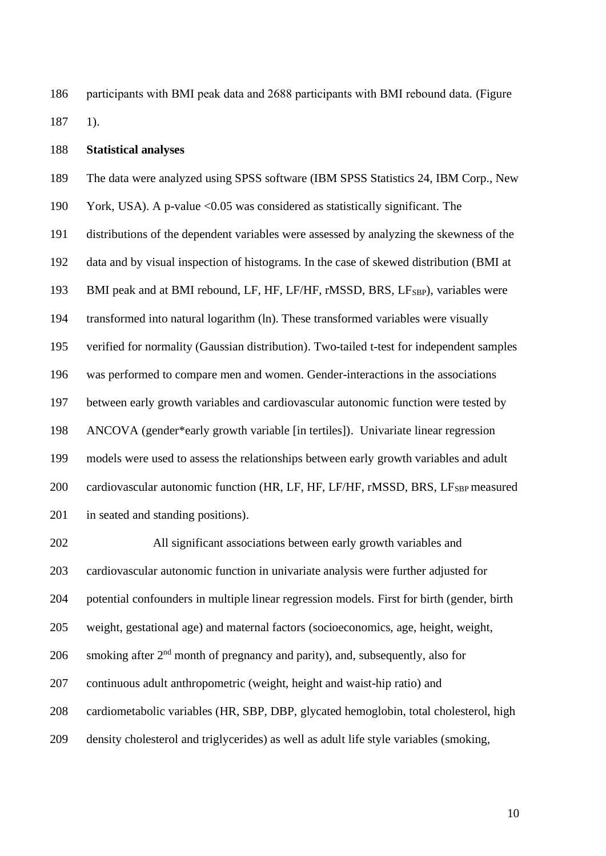participants with BMI peak data and 2688 participants with BMI rebound data. (Figure 1).

### **Statistical analyses**

The data were analyzed using SPSS software (IBM SPSS Statistics 24, IBM Corp., New

York, USA). A p-value <0.05 was considered as statistically significant. The

distributions of the dependent variables were assessed by analyzing the skewness of the

data and by visual inspection of histograms. In the case of skewed distribution (BMI at

193 BMI peak and at BMI rebound, LF, HF, LF/HF, rMSSD, BRS, LF<sub>SBP</sub>), variables were

transformed into natural logarithm (ln). These transformed variables were visually

verified for normality (Gaussian distribution). Two-tailed t-test for independent samples

was performed to compare men and women. Gender-interactions in the associations

between early growth variables and cardiovascular autonomic function were tested by

ANCOVA (gender\*early growth variable [in tertiles]). Univariate linear regression

 models were used to assess the relationships between early growth variables and adult 200 cardiovascular autonomic function (HR, LF, HF, LF/HF, rMSSD, BRS, LF<sub>SBP</sub> measured

in seated and standing positions).

 All significant associations between early growth variables and cardiovascular autonomic function in univariate analysis were further adjusted for potential confounders in multiple linear regression models. First for birth (gender, birth weight, gestational age) and maternal factors (socioeconomics, age, height, weight, 206 smoking after  $2<sup>nd</sup>$  month of pregnancy and parity), and, subsequently, also for continuous adult anthropometric (weight, height and waist-hip ratio) and cardiometabolic variables (HR, SBP, DBP, glycated hemoglobin, total cholesterol, high density cholesterol and triglycerides) as well as adult life style variables (smoking,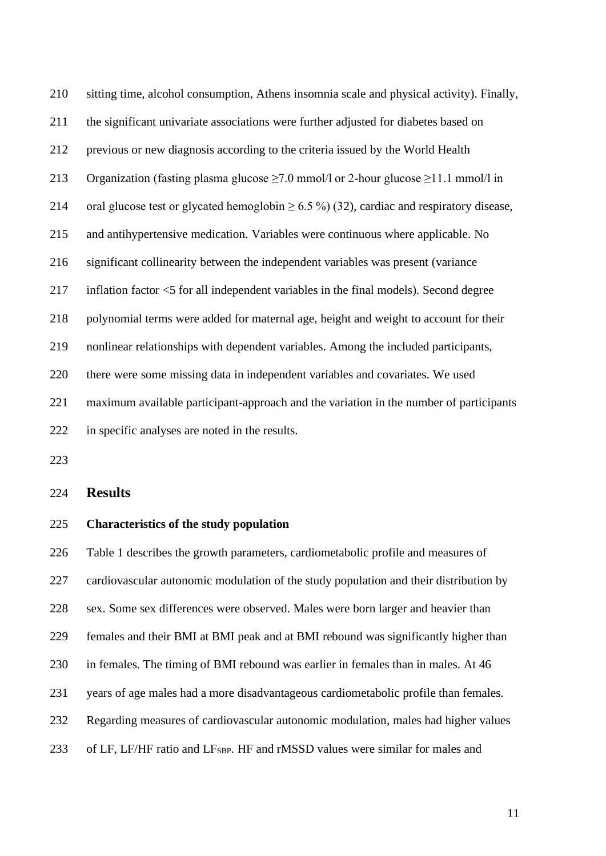| 210 | sitting time, alcohol consumption, Athens insomnia scale and physical activity). Finally,      |
|-----|------------------------------------------------------------------------------------------------|
| 211 | the significant univariate associations were further adjusted for diabetes based on            |
| 212 | previous or new diagnosis according to the criteria issued by the World Health                 |
| 213 | Organization (fasting plasma glucose $\geq$ 7.0 mmol/l or 2-hour glucose $\geq$ 11.1 mmol/l in |
| 214 | oral glucose test or glycated hemoglobin $\geq 6.5\%$ (32), cardiac and respiratory disease,   |
| 215 | and antihypertensive medication. Variables were continuous where applicable. No                |
| 216 | significant collinearity between the independent variables was present (variance               |
| 217 | inflation factor <5 for all independent variables in the final models). Second degree          |
| 218 | polynomial terms were added for maternal age, height and weight to account for their           |
| 219 | nonlinear relationships with dependent variables. Among the included participants,             |
| 220 | there were some missing data in independent variables and covariates. We used                  |
| 221 | maximum available participant-approach and the variation in the number of participants         |
| 222 | in specific analyses are noted in the results.                                                 |

# **Results**

# **Characteristics of the study population**

 Table 1 describes the growth parameters, cardiometabolic profile and measures of cardiovascular autonomic modulation of the study population and their distribution by sex. Some sex differences were observed. Males were born larger and heavier than females and their BMI at BMI peak and at BMI rebound was significantly higher than in females. The timing of BMI rebound was earlier in females than in males. At 46 years of age males had a more disadvantageous cardiometabolic profile than females. Regarding measures of cardiovascular autonomic modulation, males had higher values 233 of LF, LF/HF ratio and LF<sub>SBP</sub>. HF and rMSSD values were similar for males and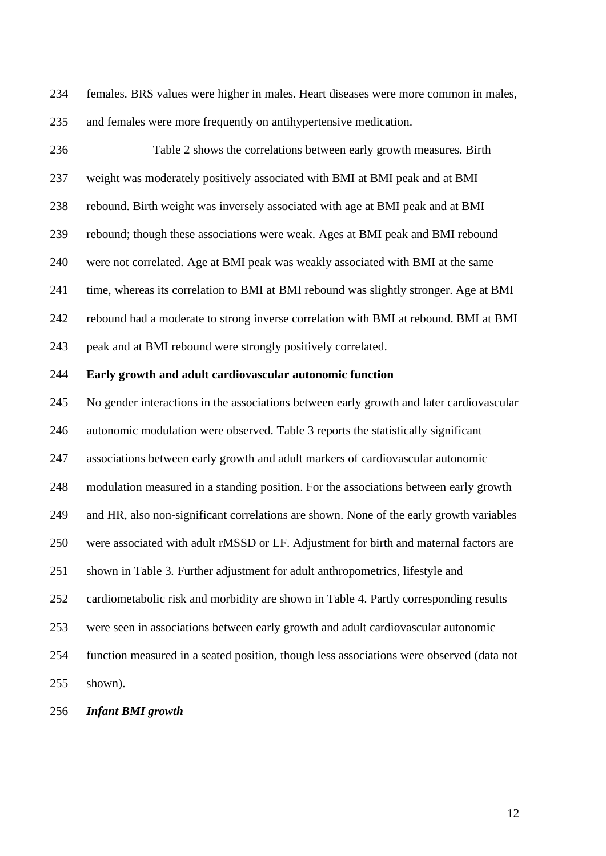females. BRS values were higher in males. Heart diseases were more common in males, and females were more frequently on antihypertensive medication.

 Table 2 shows the correlations between early growth measures. Birth weight was moderately positively associated with BMI at BMI peak and at BMI rebound. Birth weight was inversely associated with age at BMI peak and at BMI rebound; though these associations were weak. Ages at BMI peak and BMI rebound were not correlated. Age at BMI peak was weakly associated with BMI at the same time, whereas its correlation to BMI at BMI rebound was slightly stronger. Age at BMI rebound had a moderate to strong inverse correlation with BMI at rebound. BMI at BMI peak and at BMI rebound were strongly positively correlated. **Early growth and adult cardiovascular autonomic function** No gender interactions in the associations between early growth and later cardiovascular autonomic modulation were observed. Table 3 reports the statistically significant associations between early growth and adult markers of cardiovascular autonomic modulation measured in a standing position. For the associations between early growth and HR, also non-significant correlations are shown. None of the early growth variables were associated with adult rMSSD or LF. Adjustment for birth and maternal factors are

shown in Table 3. Further adjustment for adult anthropometrics, lifestyle and

cardiometabolic risk and morbidity are shown in Table 4. Partly corresponding results

were seen in associations between early growth and adult cardiovascular autonomic

function measured in a seated position, though less associations were observed (data not

shown).

*Infant BMI growth*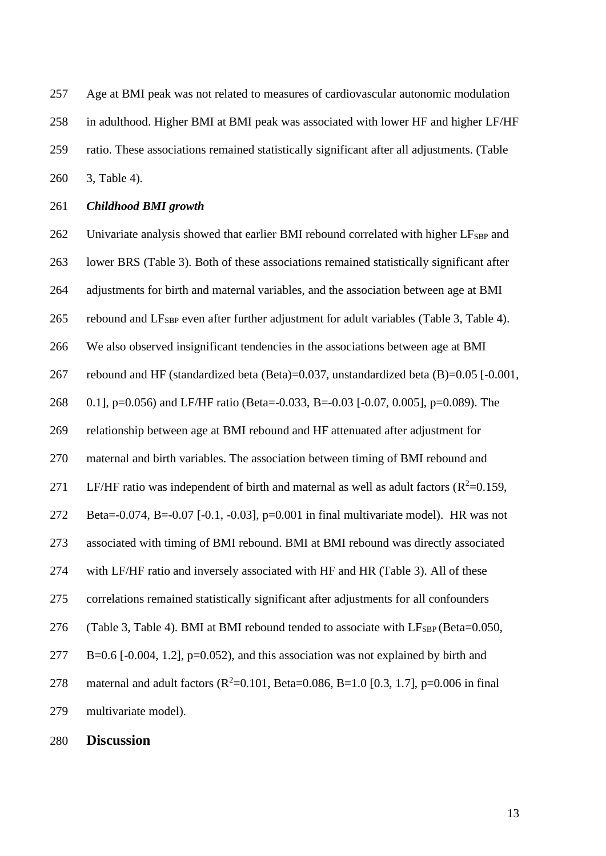Age at BMI peak was not related to measures of cardiovascular autonomic modulation in adulthood. Higher BMI at BMI peak was associated with lower HF and higher LF/HF ratio. These associations remained statistically significant after all adjustments. (Table 3, Table 4).

#### *Childhood BMI growth*

262 Univariate analysis showed that earlier BMI rebound correlated with higher  $LF_{SBP}$  and lower BRS (Table 3). Both of these associations remained statistically significant after adjustments for birth and maternal variables, and the association between age at BMI 265 rebound and  $LF_{SBP}$  even after further adjustment for adult variables (Table 3, Table 4). We also observed insignificant tendencies in the associations between age at BMI rebound and HF (standardized beta (Beta)=0.037, unstandardized beta (B)=0.05 [-0.001, 0.1], p=0.056) and LF/HF ratio (Beta=-0.033, B=-0.03 [-0.07, 0.005], p=0.089). The relationship between age at BMI rebound and HF attenuated after adjustment for maternal and birth variables. The association between timing of BMI rebound and 271 LF/HF ratio was independent of birth and maternal as well as adult factors ( $R^2$ =0.159, Beta=-0.074, B=-0.07 [-0.1, -0.03], p=0.001 in final multivariate model). HR was not associated with timing of BMI rebound. BMI at BMI rebound was directly associated with LF/HF ratio and inversely associated with HF and HR (Table 3). All of these correlations remained statistically significant after adjustments for all confounders 276 (Table 3, Table 4). BMI at BMI rebound tended to associate with  $LF_{SBP}$  (Beta=0.050, B=0.6 [-0.004, 1.2], p=0.052), and this association was not explained by birth and 278 maternal and adult factors  $(R^2=0.101, Beta=0.086, B=1.0 [0.3, 1.7], p=0.006$  in final multivariate model).

**Discussion**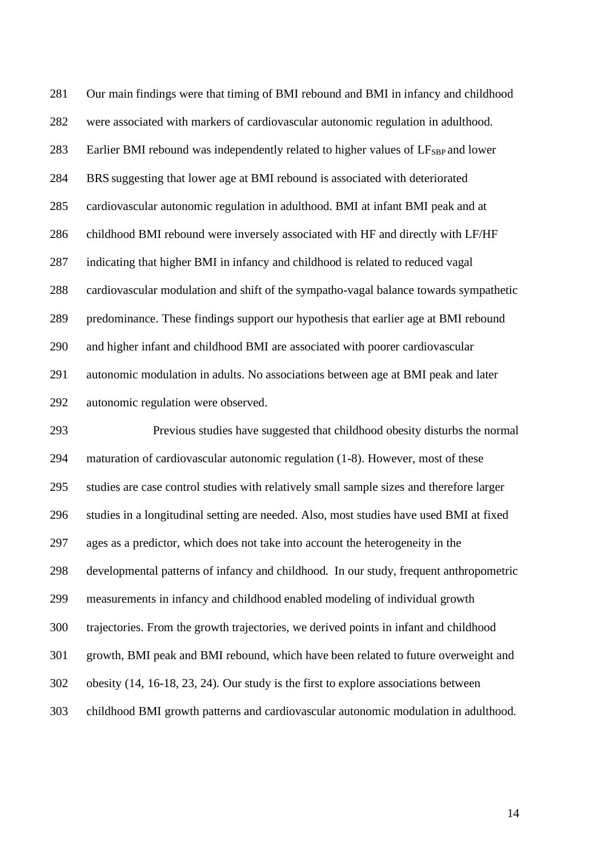Our main findings were that timing of BMI rebound and BMI in infancy and childhood were associated with markers of cardiovascular autonomic regulation in adulthood. 283 Earlier BMI rebound was independently related to higher values of  $LF_{SBP}$  and lower BRS suggesting that lower age at BMI rebound is associated with deteriorated cardiovascular autonomic regulation in adulthood. BMI at infant BMI peak and at childhood BMI rebound were inversely associated with HF and directly with LF/HF indicating that higher BMI in infancy and childhood is related to reduced vagal cardiovascular modulation and shift of the sympatho-vagal balance towards sympathetic predominance. These findings support our hypothesis that earlier age at BMI rebound and higher infant and childhood BMI are associated with poorer cardiovascular autonomic modulation in adults. No associations between age at BMI peak and later autonomic regulation were observed.

 Previous studies have suggested that childhood obesity disturbs the normal maturation of cardiovascular autonomic regulation (1-8). However, most of these studies are case control studies with relatively small sample sizes and therefore larger studies in a longitudinal setting are needed. Also, most studies have used BMI at fixed ages as a predictor, which does not take into account the heterogeneity in the developmental patterns of infancy and childhood. In our study, frequent anthropometric measurements in infancy and childhood enabled modeling of individual growth trajectories. From the growth trajectories, we derived points in infant and childhood growth, BMI peak and BMI rebound, which have been related to future overweight and obesity (14, 16-18, 23, 24). Our study is the first to explore associations between childhood BMI growth patterns and cardiovascular autonomic modulation in adulthood.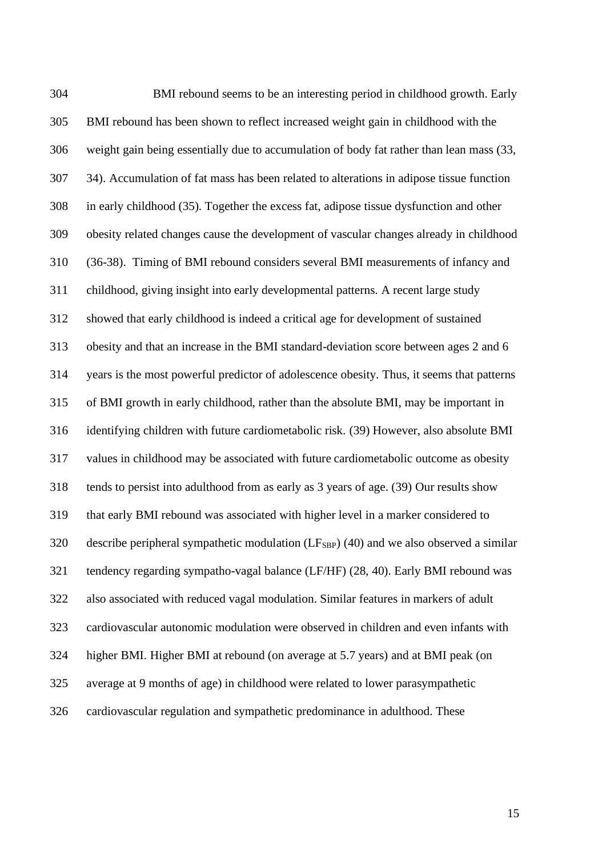BMI rebound seems to be an interesting period in childhood growth. Early BMI rebound has been shown to reflect increased weight gain in childhood with the weight gain being essentially due to accumulation of body fat rather than lean mass (33, 34). Accumulation of fat mass has been related to alterations in adipose tissue function in early childhood (35). Together the excess fat, adipose tissue dysfunction and other obesity related changes cause the development of vascular changes already in childhood (36-38). Timing of BMI rebound considers several BMI measurements of infancy and childhood, giving insight into early developmental patterns. A recent large study showed that early childhood is indeed a critical age for development of sustained obesity and that an increase in the BMI standard-deviation score between ages 2 and 6 years is the most powerful predictor of adolescence obesity. Thus, it seems that patterns of BMI growth in early childhood, rather than the absolute BMI, may be important in identifying children with future cardiometabolic risk. (39) However, also absolute BMI values in childhood may be associated with future cardiometabolic outcome as obesity tends to persist into adulthood from as early as 3 years of age. (39) Our results show that early BMI rebound was associated with higher level in a marker considered to 320 describe peripheral sympathetic modulation  $(LF_{SBP})$  (40) and we also observed a similar tendency regarding sympatho-vagal balance (LF/HF) (28, 40). Early BMI rebound was also associated with reduced vagal modulation. Similar features in markers of adult cardiovascular autonomic modulation were observed in children and even infants with higher BMI. Higher BMI at rebound (on average at 5.7 years) and at BMI peak (on average at 9 months of age) in childhood were related to lower parasympathetic cardiovascular regulation and sympathetic predominance in adulthood. These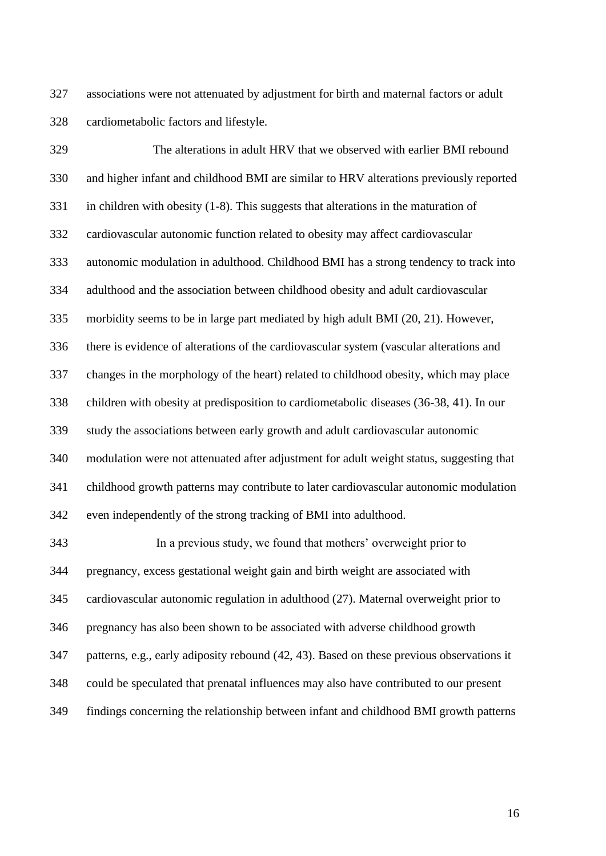associations were not attenuated by adjustment for birth and maternal factors or adult cardiometabolic factors and lifestyle.

 The alterations in adult HRV that we observed with earlier BMI rebound and higher infant and childhood BMI are similar to HRV alterations previously reported in children with obesity (1-8). This suggests that alterations in the maturation of cardiovascular autonomic function related to obesity may affect cardiovascular autonomic modulation in adulthood. Childhood BMI has a strong tendency to track into adulthood and the association between childhood obesity and adult cardiovascular morbidity seems to be in large part mediated by high adult BMI (20, 21). However, there is evidence of alterations of the cardiovascular system (vascular alterations and changes in the morphology of the heart) related to childhood obesity, which may place children with obesity at predisposition to cardiometabolic diseases (36-38, 41). In our study the associations between early growth and adult cardiovascular autonomic modulation were not attenuated after adjustment for adult weight status, suggesting that childhood growth patterns may contribute to later cardiovascular autonomic modulation even independently of the strong tracking of BMI into adulthood.

 In a previous study, we found that mothers' overweight prior to pregnancy, excess gestational weight gain and birth weight are associated with cardiovascular autonomic regulation in adulthood (27). Maternal overweight prior to pregnancy has also been shown to be associated with adverse childhood growth patterns, e.g., early adiposity rebound (42, 43). Based on these previous observations it could be speculated that prenatal influences may also have contributed to our present findings concerning the relationship between infant and childhood BMI growth patterns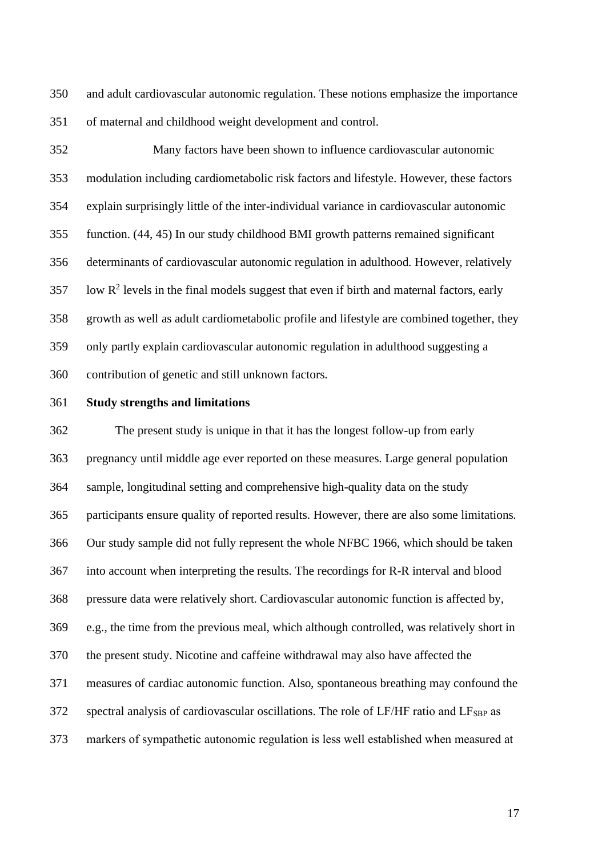and adult cardiovascular autonomic regulation. These notions emphasize the importance of maternal and childhood weight development and control.

 Many factors have been shown to influence cardiovascular autonomic modulation including cardiometabolic risk factors and lifestyle. However, these factors explain surprisingly little of the inter-individual variance in cardiovascular autonomic function. (44, 45) In our study childhood BMI growth patterns remained significant determinants of cardiovascular autonomic regulation in adulthood. However, relatively low  $\mathbb{R}^2$  levels in the final models suggest that even if birth and maternal factors, early growth as well as adult cardiometabolic profile and lifestyle are combined together, they only partly explain cardiovascular autonomic regulation in adulthood suggesting a contribution of genetic and still unknown factors.

#### **Study strengths and limitations**

 The present study is unique in that it has the longest follow-up from early pregnancy until middle age ever reported on these measures. Large general population sample, longitudinal setting and comprehensive high-quality data on the study participants ensure quality of reported results. However, there are also some limitations. Our study sample did not fully represent the whole NFBC 1966, which should be taken into account when interpreting the results. The recordings for R-R interval and blood pressure data were relatively short. Cardiovascular autonomic function is affected by, e.g., the time from the previous meal, which although controlled, was relatively short in the present study. Nicotine and caffeine withdrawal may also have affected the measures of cardiac autonomic function. Also, spontaneous breathing may confound the spectral analysis of cardiovascular oscillations. The role of LF/HF ratio and LF<sub>SBP</sub> as markers of sympathetic autonomic regulation is less well established when measured at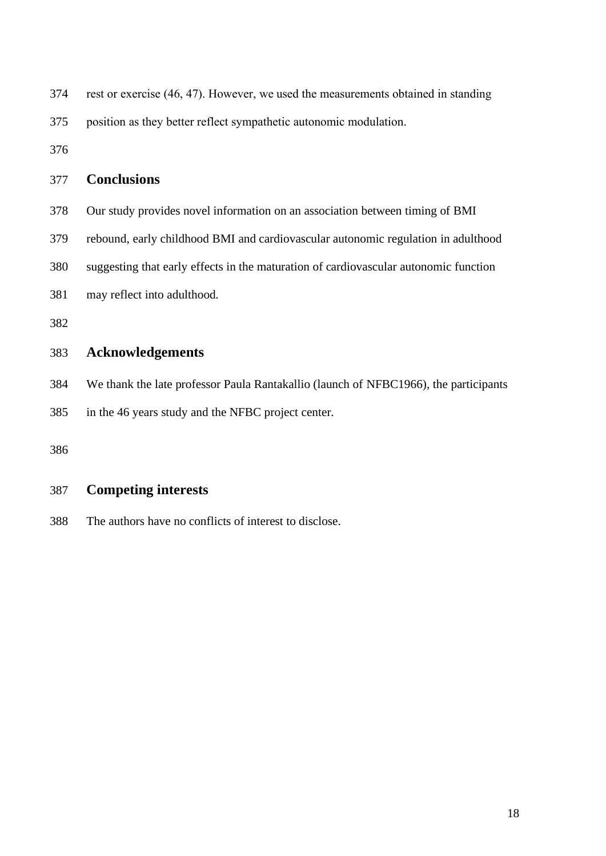| 374 | rest or exercise (46, 47). However, we used the measurements obtained in standing    |
|-----|--------------------------------------------------------------------------------------|
| 375 | position as they better reflect sympathetic autonomic modulation.                    |
| 376 |                                                                                      |
| 377 | <b>Conclusions</b>                                                                   |
| 378 | Our study provides novel information on an association between timing of BMI         |
| 379 | rebound, early childhood BMI and cardiovascular autonomic regulation in adulthood    |
| 380 | suggesting that early effects in the maturation of cardiovascular autonomic function |
| 381 | may reflect into adulthood.                                                          |
| 382 |                                                                                      |
| 383 | <b>Acknowledgements</b>                                                              |
| 384 | We thank the late professor Paula Rantakallio (launch of NFBC1966), the participants |
| 385 | in the 46 years study and the NFBC project center.                                   |
| 386 |                                                                                      |

# **Competing interests**

The authors have no conflicts of interest to disclose.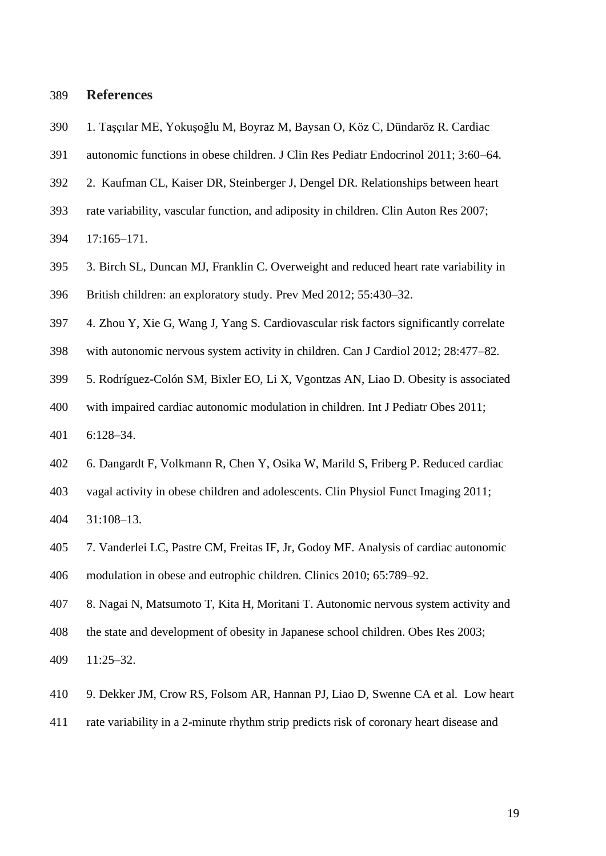# **References**

- 1. Taşçılar ME, Yokuşoğlu M, Boyraz M, Baysan O, Köz C, Dündaröz R. Cardiac
- autonomic functions in obese children. J Clin Res Pediatr Endocrinol 2011; 3:60–64.
- 2. Kaufman CL, Kaiser DR, Steinberger J, Dengel DR. Relationships between heart
- rate variability, vascular function, and adiposity in children. Clin Auton Res 2007;
- 17:165–171.
- 3. Birch SL, Duncan MJ, Franklin C. Overweight and reduced heart rate variability in British children: an exploratory study. Prev Med 2012; 55:430–32.
- 4. Zhou Y, Xie G, Wang J, Yang S. Cardiovascular risk factors significantly correlate
- with autonomic nervous system activity in children. Can J Cardiol 2012; 28:477–82.
- 5. Rodríguez-Colón SM, Bixler EO, Li X, Vgontzas AN, Liao D. Obesity is associated
- with impaired cardiac autonomic modulation in children. Int J Pediatr Obes 2011;
- 6:128–34.
- 6. Dangardt F, Volkmann R, Chen Y, Osika W, Marild S, Friberg P. Reduced cardiac
- vagal activity in obese children and adolescents. Clin Physiol Funct Imaging 2011;
- 31:108–13.
- 7. Vanderlei LC, Pastre CM, Freitas IF, Jr, Godoy MF. Analysis of cardiac autonomic modulation in obese and eutrophic children. Clinics 2010; 65:789–92.
- 8. Nagai N, Matsumoto T, Kita H, Moritani T. Autonomic nervous system activity and
- the state and development of obesity in Japanese school children. Obes Res 2003;
- 11:25–32.
- 9. Dekker JM, Crow RS, Folsom AR, Hannan PJ, Liao D, Swenne CA et al. Low heart
- rate variability in a 2-minute rhythm strip predicts risk of coronary heart disease and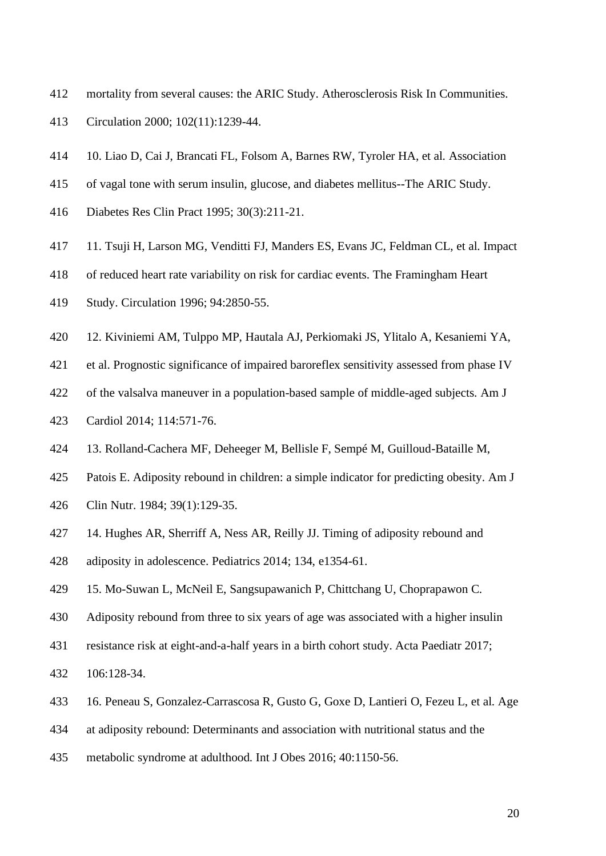- mortality from several causes: the ARIC Study. Atherosclerosis Risk In Communities.
- Circulation 2000; 102(11):1239-44.
- 10. [Liao D,](https://www.ncbi.nlm.nih.gov/pubmed/?term=Liao%20D%5BAuthor%5D&cauthor=true&cauthor_uid=8861461) [Cai J,](https://www.ncbi.nlm.nih.gov/pubmed/?term=Cai%20J%5BAuthor%5D&cauthor=true&cauthor_uid=8861461) [Brancati FL,](https://www.ncbi.nlm.nih.gov/pubmed/?term=Brancati%20FL%5BAuthor%5D&cauthor=true&cauthor_uid=8861461) [Folsom A,](https://www.ncbi.nlm.nih.gov/pubmed/?term=Folsom%20A%5BAuthor%5D&cauthor=true&cauthor_uid=8861461) [Barnes RW,](https://www.ncbi.nlm.nih.gov/pubmed/?term=Barnes%20RW%5BAuthor%5D&cauthor=true&cauthor_uid=8861461) [Tyroler HA,](https://www.ncbi.nlm.nih.gov/pubmed/?term=Tyroler%20HA%5BAuthor%5D&cauthor=true&cauthor_uid=8861461) et al. Association
- of vagal tone with serum insulin, glucose, and diabetes mellitus--The ARIC Study.
- Diabetes Res Clin Pract 1995; 30(3):211-21.
- 11. Tsuji H, Larson MG, Venditti FJ, Manders ES, Evans JC, Feldman CL, et al. Impact
- of reduced heart rate variability on risk for cardiac events. The Framingham Heart
- Study. Circulation 1996; 94:2850-55.
- 12. Kiviniemi AM, Tulppo MP, Hautala AJ, Perkiomaki JS, Ylitalo A, Kesaniemi YA,
- et al. Prognostic significance of impaired baroreflex sensitivity assessed from phase IV
- of the valsalva maneuver in a population-based sample of middle-aged subjects. Am J
- Cardiol 2014; 114:571-76.
- 13. Rolland-Cachera MF, Deheeger M, Bellisle F, Sempé M, Guilloud-Bataille M,
- Patois E. Adiposity rebound in children: a simple indicator for predicting obesity. Am J
- Clin Nutr. 1984; 39(1):129-35.
- 14. Hughes AR, Sherriff A, Ness AR, Reilly JJ. Timing of adiposity rebound and
- adiposity in adolescence. Pediatrics 2014; 134, e1354-61.
- 15. Mo-Suwan L, McNeil E, Sangsupawanich P, Chittchang U, Choprapawon C.
- Adiposity rebound from three to six years of age was associated with a higher insulin
- resistance risk at eight-and-a-half years in a birth cohort study. Acta Paediatr 2017;
- 106:128-34.
- 16. Peneau S, Gonzalez-Carrascosa R, Gusto G, Goxe D, Lantieri O, Fezeu L, et al. Age
- at adiposity rebound: Determinants and association with nutritional status and the
- metabolic syndrome at adulthood. Int J Obes 2016; 40:1150-56.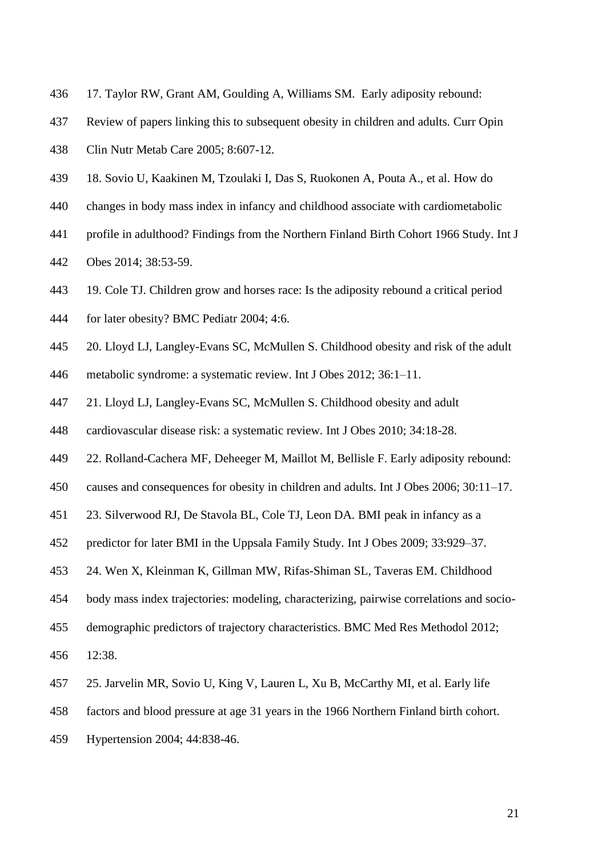- 17. Taylor RW, Grant AM, Goulding A, Williams SM. Early adiposity rebound:
- Review of papers linking this to subsequent obesity in children and adults. Curr Opin
- Clin Nutr Metab Care 2005; 8:607-12.
- 18. Sovio U, Kaakinen M, Tzoulaki I, Das S, Ruokonen A, Pouta A., et al. How do
- changes in body mass index in infancy and childhood associate with cardiometabolic
- profile in adulthood? Findings from the Northern Finland Birth Cohort 1966 Study. Int J
- Obes 2014; 38:53-59.
- 19. Cole TJ. Children grow and horses race: Is the adiposity rebound a critical period
- for later obesity? BMC Pediatr 2004; 4:6.
- 20. Lloyd LJ, Langley-Evans SC, McMullen S. Childhood obesity and risk of the adult
- metabolic syndrome: a systematic review. Int J Obes 2012; 36:1–11.
- 21. Lloyd LJ, Langley-Evans SC, McMullen S. Childhood obesity and adult
- cardiovascular disease risk: a systematic review. Int J Obes 2010; 34:18-28.
- 22. Rolland-Cachera MF, Deheeger M, Maillot M, Bellisle F. Early adiposity rebound:
- causes and consequences for obesity in children and adults. Int J Obes 2006; 30:11–17.
- 23. Silverwood RJ, De Stavola BL, Cole TJ, Leon DA. BMI peak in infancy as a
- predictor for later BMI in the Uppsala Family Study. Int J Obes 2009; 33:929–37.
- 24. Wen X, Kleinman K, Gillman MW, Rifas-Shiman SL, Taveras EM. Childhood
- body mass index trajectories: modeling, characterizing, pairwise correlations and socio-
- demographic predictors of trajectory characteristics. BMC Med Res Methodol 2012;
- 12:38.
- 25. Jarvelin MR, Sovio U, King V, Lauren L, Xu B, McCarthy MI, et al. Early life
- factors and blood pressure at age 31 years in the 1966 Northern Finland birth cohort.
- Hypertension 2004; 44:838-46.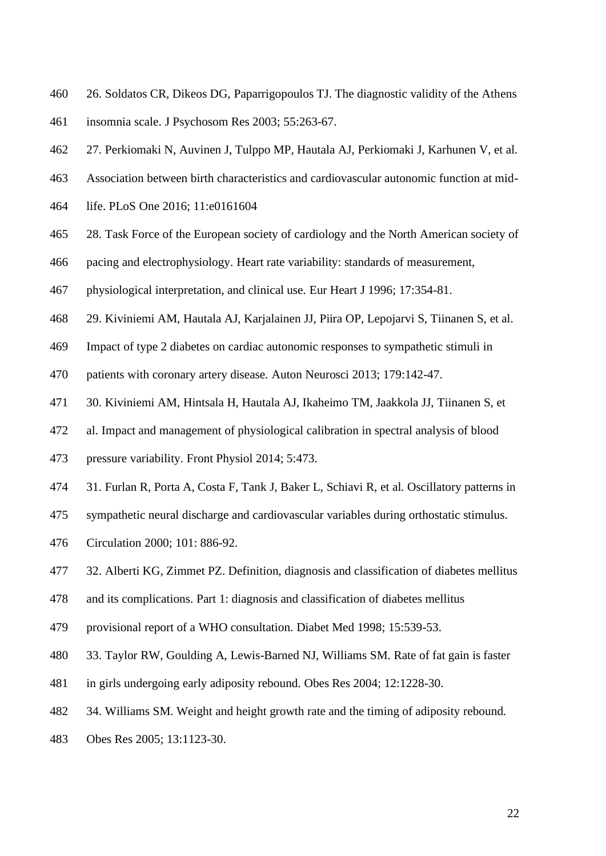- 26. Soldatos CR, Dikeos DG, Paparrigopoulos TJ. The diagnostic validity of the Athens
- insomnia scale. J Psychosom Res 2003; 55:263-67.
- 27. Perkiomaki N, Auvinen J, Tulppo MP, Hautala AJ, Perkiomaki J, Karhunen V, et al.
- Association between birth characteristics and cardiovascular autonomic function at mid-
- life. PLoS One 2016; 11:e0161604
- 28. Task Force of the European society of cardiology and the North American society of
- pacing and electrophysiology. Heart rate variability: standards of measurement,
- physiological interpretation, and clinical use. Eur Heart J 1996; 17:354-81.
- 29. Kiviniemi AM, Hautala AJ, Karjalainen JJ, Piira OP, Lepojarvi S, Tiinanen S, et al.
- Impact of type 2 diabetes on cardiac autonomic responses to sympathetic stimuli in
- patients with coronary artery disease. Auton Neurosci 2013; 179:142-47.
- 30. Kiviniemi AM, Hintsala H, Hautala AJ, Ikaheimo TM, Jaakkola JJ, Tiinanen S, et
- al. Impact and management of physiological calibration in spectral analysis of blood
- pressure variability. Front Physiol 2014; 5:473.
- 31. Furlan R, Porta A, Costa F, Tank J, Baker L, Schiavi R, et al. Oscillatory patterns in
- sympathetic neural discharge and cardiovascular variables during orthostatic stimulus.
- Circulation 2000; 101: 886-92.
- 32. Alberti KG, Zimmet PZ. Definition, diagnosis and classification of diabetes mellitus
- and its complications. Part 1: diagnosis and classification of diabetes mellitus
- provisional report of a WHO consultation. Diabet Med 1998; 15:539-53.
- 33. Taylor RW, Goulding A, Lewis-Barned NJ, Williams SM. Rate of fat gain is faster
- in girls undergoing early adiposity rebound. Obes Res 2004; 12:1228-30.
- 34. Williams SM. Weight and height growth rate and the timing of adiposity rebound.
- Obes Res 2005; 13:1123-30.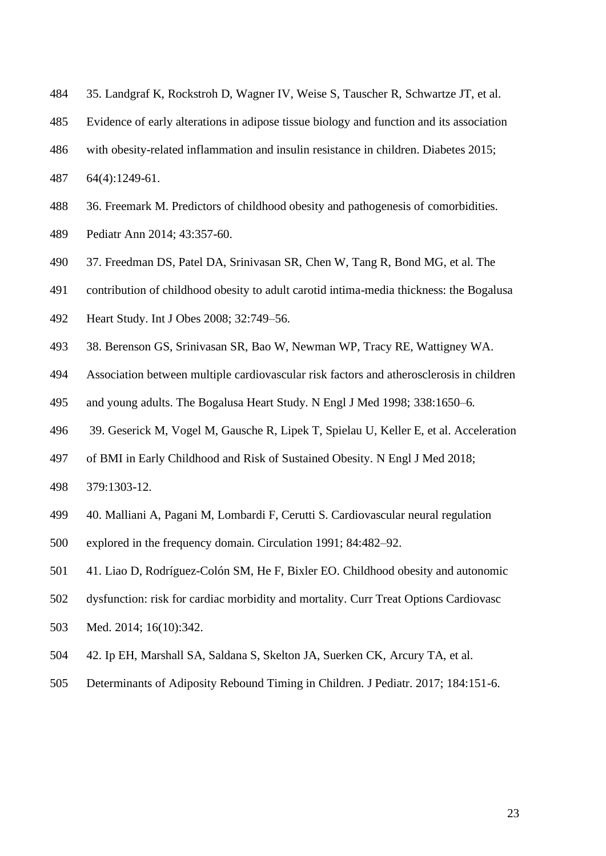- 35. Landgraf K, Rockstroh D, Wagner IV, Weise S, Tauscher R, Schwartze JT, et al.
- Evidence of early alterations in adipose tissue biology and function and its association
- with obesity-related inflammation and insulin resistance in children. Diabetes 2015;
- 64(4):1249-61.
- 36. Freemark M. Predictors of childhood obesity and pathogenesis of comorbidities.
- Pediatr Ann 2014; 43:357-60.
- 37. Freedman DS, Patel DA, Srinivasan SR, Chen W, Tang R, Bond MG, et al. The
- contribution of childhood obesity to adult carotid intima-media thickness: the Bogalusa
- Heart Study. Int J Obes 2008; 32:749–56.
- 38. Berenson GS, Srinivasan SR, Bao W, Newman WP, Tracy RE, Wattigney WA.
- Association between multiple cardiovascular risk factors and atherosclerosis in children
- and young adults. The Bogalusa Heart Study. N Engl J Med 1998; 338:1650–6.
- 39. Geserick M, Vogel M, Gausche R, Lipek T, Spielau U, Keller E, et al. Acceleration
- of BMI in Early Childhood and Risk of Sustained Obesity. N Engl J Med 2018;
- 379:1303-12.
- 40. Malliani A, Pagani M, Lombardi F, Cerutti S. Cardiovascular neural regulation
- explored in the frequency domain. Circulation 1991; 84:482–92.
- 41. Liao D, Rodríguez-Colón SM, He F, Bixler EO. Childhood obesity and autonomic
- dysfunction: risk for cardiac morbidity and mortality. Curr Treat Options Cardiovasc
- Med. 2014; 16(10):342.
- 42. Ip EH, Marshall SA, Saldana S, Skelton JA, Suerken CK, Arcury TA, et al.
- Determinants of Adiposity Rebound Timing in Children. J Pediatr. 2017; 184:151-6.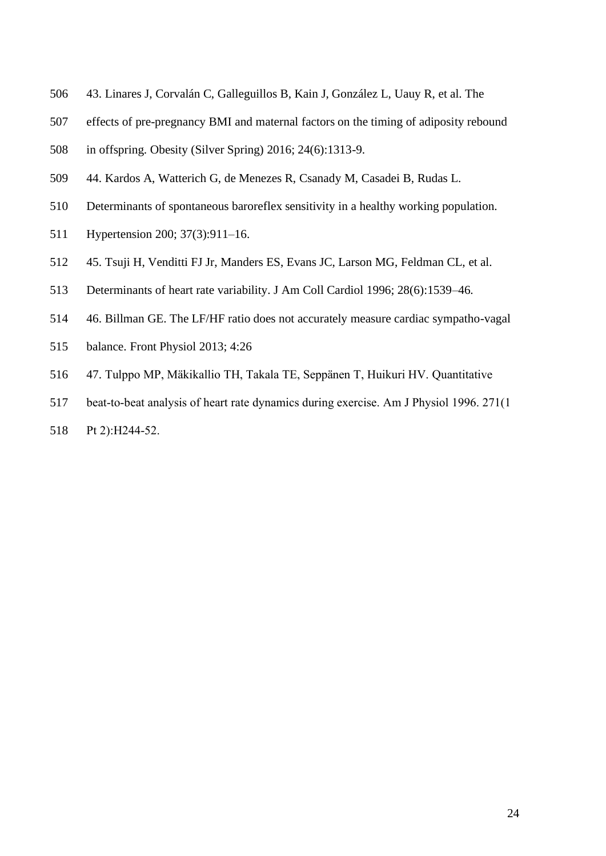- 43. Linares J, Corvalán C, Galleguillos B, Kain J, González L, Uauy R, et al. The
- effects of pre-pregnancy BMI and maternal factors on the timing of adiposity rebound
- in offspring. Obesity (Silver Spring) 2016; 24(6):1313-9.
- 44. Kardos A, Watterich G, de Menezes R, Csanady M, Casadei B, Rudas L.
- Determinants of spontaneous baroreflex sensitivity in a healthy working population.
- Hypertension 200; 37(3):911–16.
- 45. Tsuji H, Venditti FJ Jr, Manders ES, Evans JC, Larson MG, Feldman CL, et al.
- Determinants of heart rate variability. J Am Coll Cardiol 1996; 28(6):1539–46.
- 46. Billman GE. The LF/HF ratio does not accurately measure cardiac sympatho-vagal
- balance. Front Physiol 2013; 4:26
- 47. Tulppo MP, Mäkikallio TH, Takala TE, Seppänen T, Huikuri HV. Quantitative
- beat-to-beat analysis of heart rate dynamics during exercise. Am J Physiol 1996. 271(1
- 518 Pt 2):H244-52.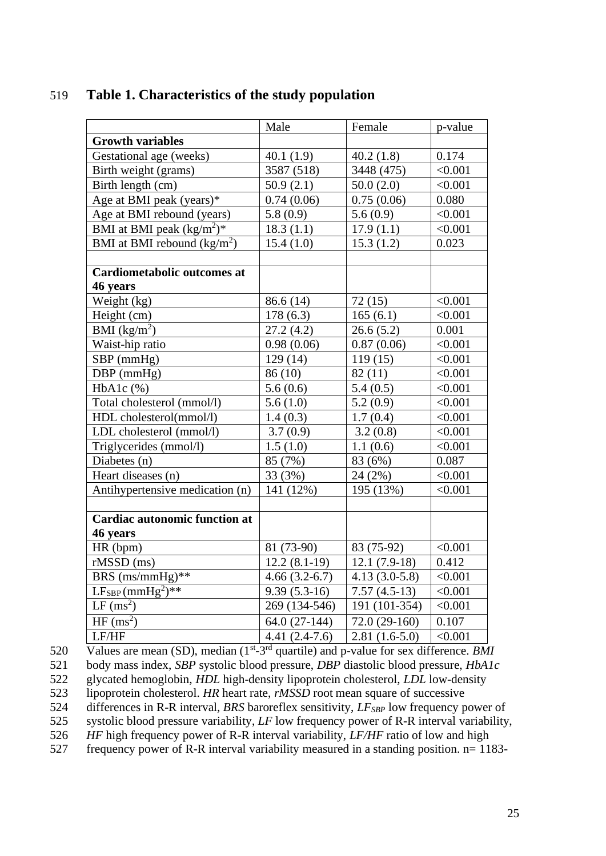|                                      | Male                       | Female             | p-value            |
|--------------------------------------|----------------------------|--------------------|--------------------|
| <b>Growth variables</b>              |                            |                    |                    |
| Gestational age (weeks)              | 40.1(1.9)                  | 40.2(1.8)          | 0.174              |
| Birth weight (grams)                 | 3587 (518)                 | 3448 (475)         | < 0.001            |
| Birth length (cm)                    | 50.9(2.1)                  | 50.0(2.0)          | < 0.001            |
| Age at BMI peak (years)*             | 0.74(0.06)                 | 0.75(0.06)         | 0.080              |
| Age at BMI rebound (years)           | 5.8(0.9)                   | 5.6(0.9)           | < 0.001            |
| BMI at BMI peak $(kg/m^2)^*$         | 18.3(1.1)                  | 17.9(1.1)          | < 0.001            |
| BMI at BMI rebound $(kg/m2)$         | 15.4(1.0)                  | 15.3(1.2)          | 0.023              |
| <b>Cardiometabolic outcomes at</b>   |                            |                    |                    |
|                                      |                            |                    |                    |
| 46 years<br>Weight (kg)              | 86.6 (14)                  |                    | < 0.001            |
|                                      | 178(6.3)                   | 72(15)<br>165(6.1) | < 0.001            |
| Height (cm)<br>BMI $(kg/m^2)$        | 27.2(4.2)                  | 26.6(5.2)          | 0.001              |
| Waist-hip ratio                      |                            |                    |                    |
|                                      | 0.98(0.06)                 | 0.87(0.06)         | < 0.001<br>< 0.001 |
| SBP (mmHg)                           | 129(14)                    | 119(15)            |                    |
| $DBP$ (mmHg)                         | 86 (10)                    | 82(11)             | < 0.001            |
| $HbA1c$ $%$                          | 5.6(0.6)                   | 5.4(0.5)           | < 0.001            |
| Total cholesterol (mmol/l)           | 5.6(1.0)                   | 5.2(0.9)           | < 0.001            |
| HDL cholesterol(mmol/l)              | 1.4(0.3)                   | 1.7(0.4)           | < 0.001            |
| LDL cholesterol (mmol/l)             | 3.7(0.9)                   | 3.2(0.8)           | < 0.001            |
| Triglycerides (mmol/l)               | 1.5(1.0)                   | 1.1(0.6)           | < 0.001            |
| Diabetes (n)                         | 85 (7%)                    | 83 (6%)            | 0.087              |
| Heart diseases (n)                   | 33 (3%)                    | 24 (2%)            | < 0.001            |
| Antihypertensive medication (n)      | 141 (12%)                  | 195 (13%)          | < 0.001            |
| <b>Cardiac autonomic function at</b> |                            |                    |                    |
| 46 years                             |                            |                    |                    |
| HR (bpm)                             | 81 (73-90)                 | 83 (75-92)         | < 0.001            |
| $rMSSD$ (ms)                         | $12.2(8.1-19)$             | $12.1(7.9-18)$     | 0.412              |
| BRS (ms/mmHg)**                      | $4.66(3.2-6.7)$            | $4.13(3.0-5.8)$    | < 0.001            |
| $LF_{SBP}(mmHg2)**$                  | $\overline{9.39}$ (5.3-16) | $7.57(4.5-13)$     | < 0.001            |
| $LF$ (ms <sup>2</sup> )              | 269 (134-546)              | 191 (101-354)      | < 0.001            |
| HF(ms <sup>2</sup> )                 | $64.0(27-144)$             | $72.0(29-160)$     | 0.107              |
| LF/HF                                | $4.41(2.4-7.6)$            | $2.81(1.6-5.0)$    | < 0.001            |

# 519 **Table 1. Characteristics of the study population**

520 Values are mean (SD), median (1<sup>st-3rd</sup> quartile) and p-value for sex difference. *BMI* 

521 body mass index, *SBP* systolic blood pressure, *DBP* diastolic blood pressure, *HbA1c*

522 glycated hemoglobin, *HDL* high-density lipoprotein cholesterol, *LDL* low-density

523 lipoprotein cholesterol. *HR* heart rate, *rMSSD* root mean square of successive

524 differences in R-R interval, *BRS* baroreflex sensitivity, *LFSBP* low frequency power of

525 systolic blood pressure variability, *LF* low frequency power of R-R interval variability,

526 *HF* high frequency power of R-R interval variability, *LF/HF* ratio of low and high

527 frequency power of R-R interval variability measured in a standing position. n= 1183-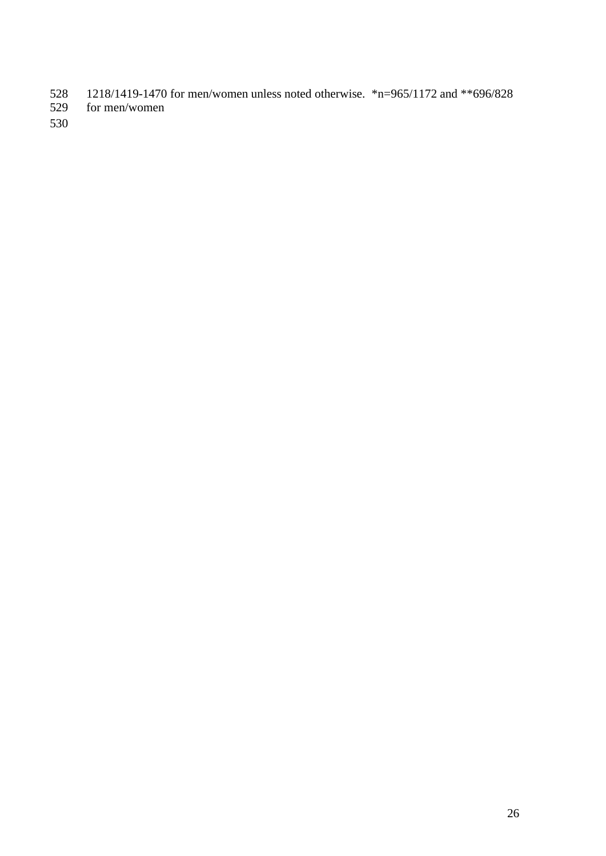- 528 1218/1419-1470 for men/women unless noted otherwise. \*n=965/1172 and \*\*696/828 for men/women
- for men/women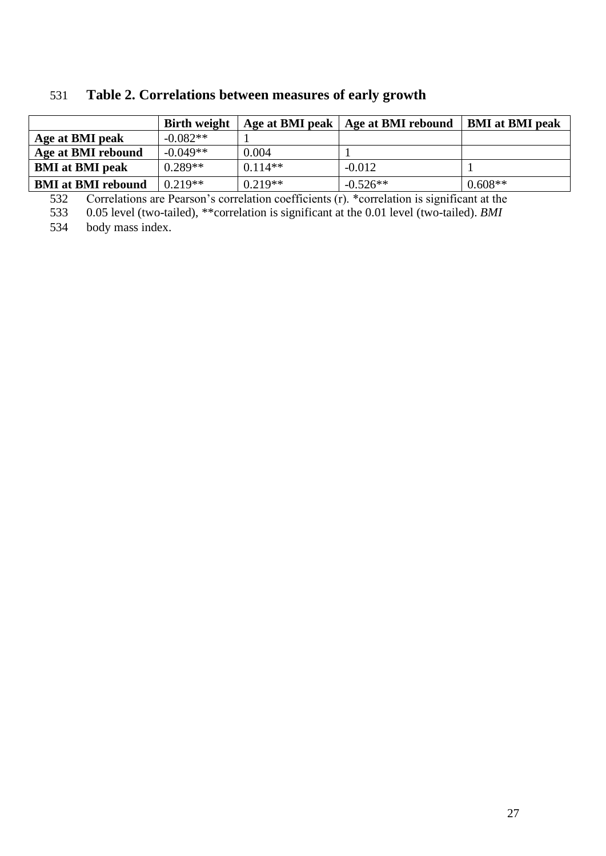|                                  | <b>Birth weight</b> | Age at BMI peak | Age at BMI rebound | <b>BMI</b> at <b>BMI</b> peak |
|----------------------------------|---------------------|-----------------|--------------------|-------------------------------|
| Age at BMI peak                  | $-0.082**$          |                 |                    |                               |
| Age at BMI rebound               | $-0.049**$          | 0.004           |                    |                               |
| <b>BMI</b> at <b>BMI</b> peak    | $0.289**$           | $0.114**$       | $-0.012$           |                               |
| <b>BMI</b> at <b>BMI</b> rebound | $0.219**$           | $0.219**$       | $-0.526**$         | $0.608**$                     |

# 531 **Table 2. Correlations between measures of early growth**

532 Correlations are Pearson's correlation coefficients (r). \*correlation is significant at the

533 0.05 level (two-tailed), \*\*correlation is significant at the 0.01 level (two-tailed). *BMI*

534 body mass index.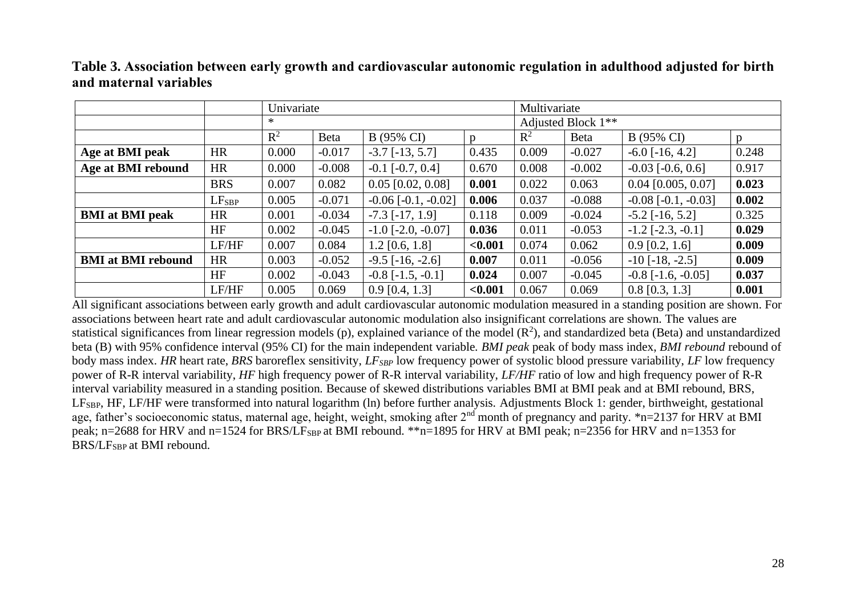|                                  |                   | Univariate     |          |                             |         | Multivariate                   |             |                             |       |
|----------------------------------|-------------------|----------------|----------|-----------------------------|---------|--------------------------------|-------------|-----------------------------|-------|
|                                  |                   | ∗              |          |                             |         | Adjusted Block 1 <sup>**</sup> |             |                             |       |
|                                  |                   | $\mathbb{R}^2$ | Beta     | B (95% CI)                  | n       | $\mathbb{R}^2$                 | <b>Beta</b> | B (95% CI)                  | n     |
| Age at BMI peak                  | <b>HR</b>         | 0.000          | $-0.017$ | $-3.7$ $[-13, 5.7]$         | 0.435   | 0.009                          | $-0.027$    | $-6.0$ [ $-16, 4.2$ ]       | 0.248 |
| Age at BMI rebound               | <b>HR</b>         | 0.000          | $-0.008$ | $-0.1$ [ $-0.7, 0.4$ ]      | 0.670   | 0.008                          | $-0.002$    | $-0.03$ [ $-0.6, 0.6$ ]     | 0.917 |
|                                  | <b>BRS</b>        | 0.007          | 0.082    | $0.05$ [0.02, 0.08]         | 0.001   | 0.022                          | 0.063       | $0.04$ [0.005, 0.07]        | 0.023 |
|                                  | LF <sub>SBP</sub> | 0.005          | $-0.071$ | $-0.06$ [ $-0.1, -0.02$ ]   | 0.006   | 0.037                          | $-0.088$    | $-0.08$ [ $-0.1, -0.03$ ]   | 0.002 |
| <b>BMI</b> at <b>BMI</b> peak    | <b>HR</b>         | 0.001          | $-0.034$ | $-7.3$ [ $-17, 1.9$ ]       | 0.118   | 0.009                          | $-0.024$    | $-5.2$ [ $-16, 5.2$ ]       | 0.325 |
|                                  | HF                | 0.002          | $-0.045$ | $-1.0$ [ $-2.0$ , $-0.07$ ] | 0.036   | 0.011                          | $-0.053$    | $-1.2$ [ $-2.3$ , $-0.1$ ]  | 0.029 |
|                                  | LF/HF             | 0.007          | 0.084    | $1.2$ [0.6, 1.8]            | < 0.001 | 0.074                          | 0.062       | $0.9$ [0.2, 1.6]            | 0.009 |
| <b>BMI</b> at <b>BMI</b> rebound | <b>HR</b>         | 0.003          | $-0.052$ | $-9.5$ [ $-16, -2.6$ ]      | 0.007   | 0.011                          | $-0.056$    | $-10$ [ $-18$ , $-2.5$ ]    | 0.009 |
|                                  | <b>HF</b>         | 0.002          | $-0.043$ | $-0.8$ [ $-1.5$ , $-0.1$ ]  | 0.024   | 0.007                          | $-0.045$    | $-0.8$ [ $-1.6$ , $-0.05$ ] | 0.037 |
|                                  | LF/HF             | 0.005          | 0.069    | $0.9$ [0.4, 1.3]            | < 0.001 | 0.067                          | 0.069       | $0.8$ [0.3, 1.3]            | 0.001 |

# **Table 3. Association between early growth and cardiovascular autonomic regulation in adulthood adjusted for birth and maternal variables**

All significant associations between early growth and adult cardiovascular autonomic modulation measured in a standing position are shown. For associations between heart rate and adult cardiovascular autonomic modulation also insignificant correlations are shown. The values are statistical significances from linear regression models (p), explained variance of the model  $(R^2)$ , and standardized beta (Beta) and unstandardized beta (B) with 95% confidence interval (95% CI) for the main independent variable. *BMI peak* peak of body mass index, *BMI rebound* rebound of body mass index. *HR* heart rate, *BRS* baroreflex sensitivity, *LFSBP* low frequency power of systolic blood pressure variability, *LF* low frequency power of R-R interval variability, *HF* high frequency power of R-R interval variability, *LF/HF* ratio of low and high frequency power of R-R interval variability measured in a standing position. Because of skewed distributions variables BMI at BMI peak and at BMI rebound, BRS, LFSBP, HF, LF/HF were transformed into natural logarithm (ln) before further analysis. Adjustments Block 1: gender, birthweight, gestational age, father's socioeconomic status, maternal age, height, weight, smoking after 2<sup>nd</sup> month of pregnancy and parity. \*n=2137 for HRV at BMI peak; n=2688 for HRV and n=1524 for BRS/LF<sub>SBP</sub> at BMI rebound. \*\*n=1895 for HRV at BMI peak; n=2356 for HRV and n=1353 for BRS/LF<sub>SBP</sub> at BMI rebound.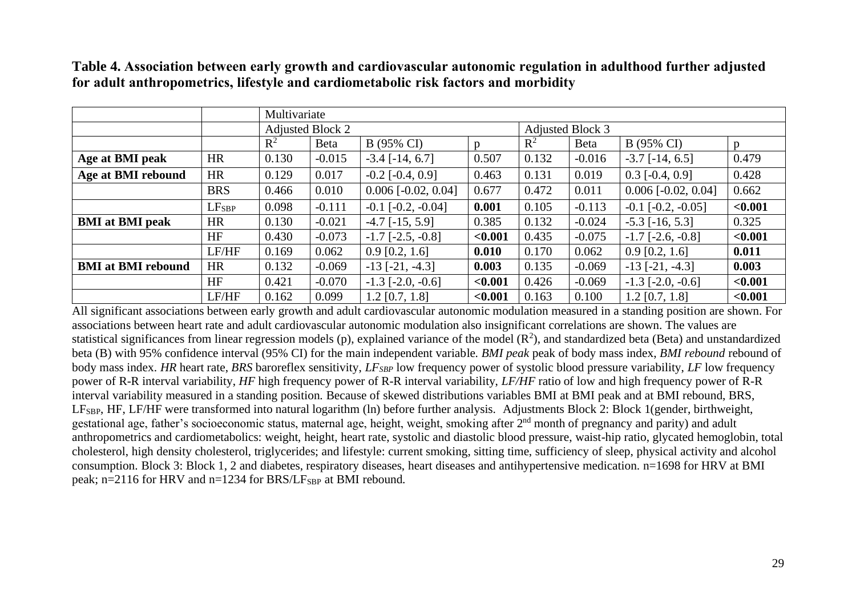|                                  |                   | Multivariate |                         |                        |                |                |                         |                              |         |  |
|----------------------------------|-------------------|--------------|-------------------------|------------------------|----------------|----------------|-------------------------|------------------------------|---------|--|
|                                  |                   |              | <b>Adjusted Block 2</b> |                        |                |                | <b>Adjusted Block 3</b> |                              |         |  |
|                                  |                   | $R^2$        | <b>Beta</b>             | B (95% CI)             | $\mathfrak{v}$ | $\mathbb{R}^2$ | Beta                    | B (95% CI)                   |         |  |
| Age at BMI peak                  | <b>HR</b>         | 0.130        | $-0.015$                | $-3.4$ [ $-14, 6.7$ ]  | 0.507          | 0.132          | $-0.016$                | $-3.7$ [ $-14, 6.5$ ]        | 0.479   |  |
| Age at BMI rebound               | <b>HR</b>         | 0.129        | 0.017                   | $-0.2$ [ $-0.4$ , 0.9] | 0.463          | 0.131          | 0.019                   | $0.3$ [-0.4, 0.9]            | 0.428   |  |
|                                  | <b>BRS</b>        | 0.466        | 0.010                   | $0.006$ [-0.02, 0.04]  | 0.677          | 0.472          | 0.011                   | $0.006$ [ $-0.02$ , $0.04$ ] | 0.662   |  |
|                                  | LF <sub>SBP</sub> | 0.098        | $-0.111$                | $-0.1$ $[-0.2, -0.04]$ | 0.001          | 0.105          | $-0.113$                | $-0.1$ $[-0.2, -0.05]$       | < 0.001 |  |
| <b>BMI</b> at <b>BMI</b> peak    | <b>HR</b>         | 0.130        | $-0.021$                | $-4.7$ [ $-15, 5.9$ ]  | 0.385          | 0.132          | $-0.024$                | $-5.3$ [ $-16, 5.3$ ]        | 0.325   |  |
|                                  | <b>HF</b>         | 0.430        | $-0.073$                | $-1.7$ $[-2.5, -0.8]$  | < 0.001        | 0.435          | $-0.075$                | $-1.7$ $[-2.6, -0.8]$        | < 0.001 |  |
|                                  | LF/HF             | 0.169        | 0.062                   | $0.9$ [0.2, 1.6]       | 0.010          | 0.170          | 0.062                   | $0.9$ [0.2, 1.6]             | 0.011   |  |
| <b>BMI</b> at <b>BMI</b> rebound | <b>HR</b>         | 0.132        | $-0.069$                | $-13$ [ $-21, -4.3$ ]  | 0.003          | 0.135          | $-0.069$                | $-13$ [ $-21, -4.3$ ]        | 0.003   |  |
|                                  | HF                | 0.421        | $-0.070$                | $-1.3$ $[-2.0, -0.6]$  | < 0.001        | 0.426          | $-0.069$                | $-1.3$ [ $-2.0, -0.6$ ]      | < 0.001 |  |
|                                  | LF/HF             | 0.162        | 0.099                   | $1.2$ [0.7, 1.8]       | < 0.001        | 0.163          | 0.100                   | $1.2$ [0.7, 1.8]             | < 0.001 |  |

**Table 4. Association between early growth and cardiovascular autonomic regulation in adulthood further adjusted for adult anthropometrics, lifestyle and cardiometabolic risk factors and morbidity**

All significant associations between early growth and adult cardiovascular autonomic modulation measured in a standing position are shown. For associations between heart rate and adult cardiovascular autonomic modulation also insignificant correlations are shown. The values are statistical significances from linear regression models (p), explained variance of the model  $(R^2)$ , and standardized beta (Beta) and unstandardized beta (B) with 95% confidence interval (95% CI) for the main independent variable. *BMI peak* peak of body mass index, *BMI rebound* rebound of body mass index. *HR* heart rate, *BRS* baroreflex sensitivity, *LFSBP* low frequency power of systolic blood pressure variability, *LF* low frequency power of R-R interval variability, *HF* high frequency power of R-R interval variability, *LF/HF* ratio of low and high frequency power of R-R interval variability measured in a standing position. Because of skewed distributions variables BMI at BMI peak and at BMI rebound, BRS, LFSBP, HF, LF/HF were transformed into natural logarithm (ln) before further analysis. Adjustments Block 2: Block 1(gender, birthweight, gestational age, father's socioeconomic status, maternal age, height, weight, smoking after 2nd month of pregnancy and parity) and adult anthropometrics and cardiometabolics: weight, height, heart rate, systolic and diastolic blood pressure, waist-hip ratio, glycated hemoglobin, total cholesterol, high density cholesterol, triglycerides; and lifestyle: current smoking, sitting time, sufficiency of sleep, physical activity and alcohol consumption. Block 3: Block 1, 2 and diabetes, respiratory diseases, heart diseases and antihypertensive medication. n=1698 for HRV at BMI peak; n=2116 for HRV and n=1234 for BRS/L $F_{SBP}$  at BMI rebound.